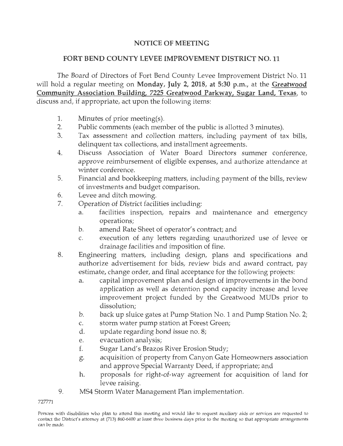## **NOTICE OF MEETING**

## **FORT BEND COUNTY LEVEE IMPROVEMENT DISTRICT NO. 11**

The Board of Directors of Fort Bend County Levee Improvement District No. 11 will hold a regular meeting on **Monday, July 2, 2018, at 5:30 p.m.,** at the **Greatwood Community Association Building, 7225 Greatwood Parkway, Sugar Land, Texas,** to discuss and, if appropriate, act upon the following items:

- 1. Minutes of prior meeting(s).
- 2. Public comments (each member of the public is allotted 3 minutes).
- 3. Tax assessment and collection matters, including payment of tax bills, delinquent tax collections, and installment agreements.
- 4. Discuss Association of Water Board Directors summer conference, approve reimbursement of eligible expenses, and authorize attendance at winter conference.
- 5. Financial and bookkeeping matters, including payment of the bills, review of investments and budget comparison.
- 6. Levee and ditch mowing.
- 7. Operation of District facilities including:
	- a. facilities inspection, repairs and maintenance and emergency operations;
	- b. amend Rate Sheet of operator's contract; and
	- c. execution of any letters regarding unauthorized use of levee or drainage facilities and imposition of fine.
- 8. Engineering matters, including design, plans and specifications and authorize advertisement for bids, review bids and award contract, pay estimate, change order, and final acceptance for the following projects:
	- a. capital improvement plan and design of improvements in the bond application as well as detention pond capacity increase and levee improvement project funded by the Greatwood MUDs prior to dissolution;
	- b. back up sluice gates at Pump Station No. **1** and Pump Station No. 2;
	- c. storm water pump station at Forest Green;
	- d. update regarding bond issue no. 8;
	- e. evacuation analysis;
	- f. Sugar Land's Brazos River Erosion Study;
	- g. acquisition of property from Canyon Gate Homeowners association and approve Special Warranty Deed, if appropriate; and
	- h. proposals for right-of-way agreement for acquisition of land for levee raising.
- 9. MS4 Storm Water Management Plan implementation.

727771